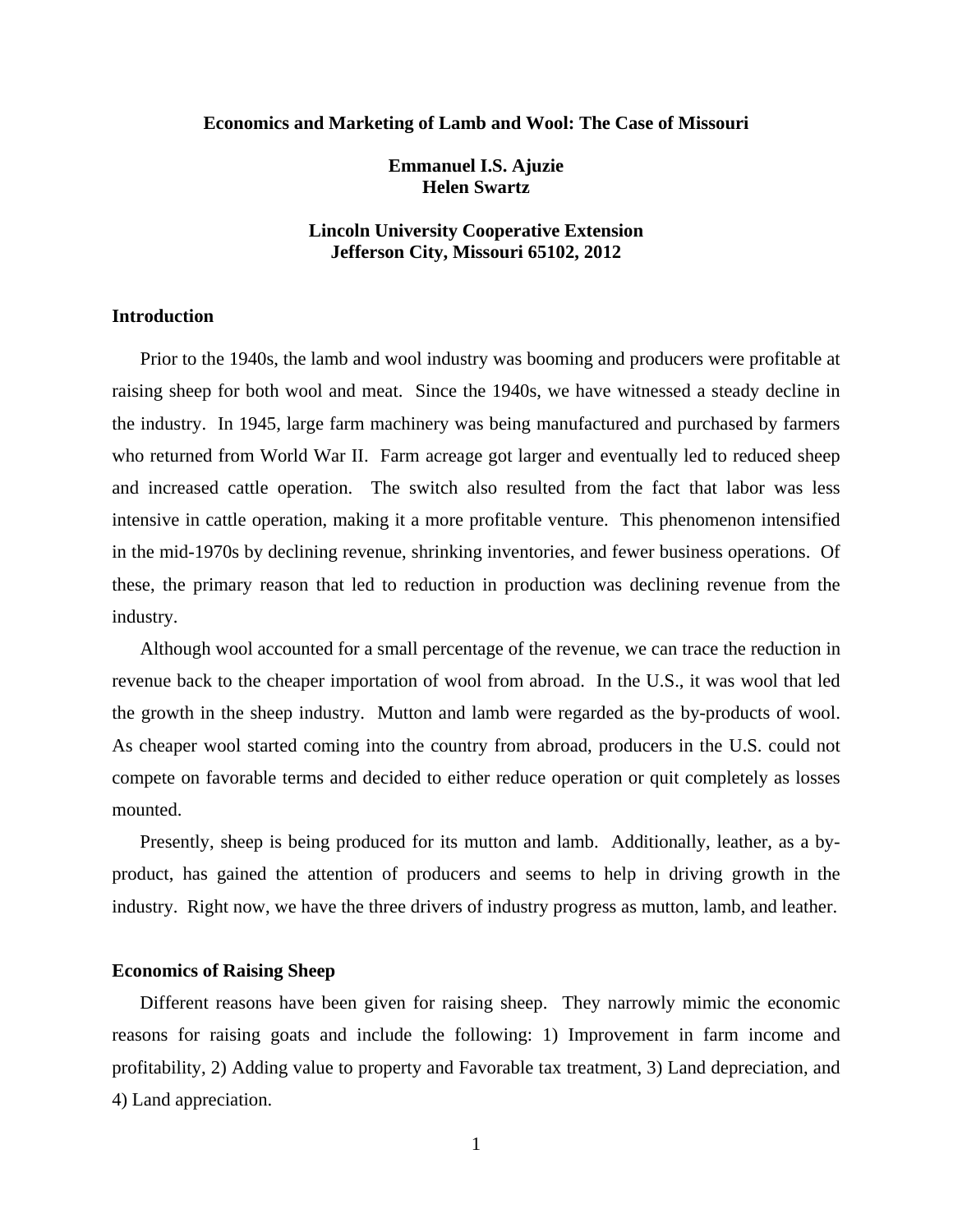#### **Economics and Marketing of Lamb and Wool: The Case of Missouri**

**Emmanuel I.S. Ajuzie Helen Swartz** 

## **Lincoln University Cooperative Extension Jefferson City, Missouri 65102, 2012**

## **Introduction**

 Prior to the 1940s, the lamb and wool industry was booming and producers were profitable at raising sheep for both wool and meat. Since the 1940s, we have witnessed a steady decline in the industry. In 1945, large farm machinery was being manufactured and purchased by farmers who returned from World War II. Farm acreage got larger and eventually led to reduced sheep and increased cattle operation. The switch also resulted from the fact that labor was less intensive in cattle operation, making it a more profitable venture. This phenomenon intensified in the mid-1970s by declining revenue, shrinking inventories, and fewer business operations. Of these, the primary reason that led to reduction in production was declining revenue from the industry.

 Although wool accounted for a small percentage of the revenue, we can trace the reduction in revenue back to the cheaper importation of wool from abroad. In the U.S., it was wool that led the growth in the sheep industry. Mutton and lamb were regarded as the by-products of wool. As cheaper wool started coming into the country from abroad, producers in the U.S. could not compete on favorable terms and decided to either reduce operation or quit completely as losses mounted.

 Presently, sheep is being produced for its mutton and lamb. Additionally, leather, as a byproduct, has gained the attention of producers and seems to help in driving growth in the industry. Right now, we have the three drivers of industry progress as mutton, lamb, and leather.

## **Economics of Raising Sheep**

 Different reasons have been given for raising sheep. They narrowly mimic the economic reasons for raising goats and include the following: 1) Improvement in farm income and profitability, 2) Adding value to property and Favorable tax treatment, 3) Land depreciation, and 4) Land appreciation.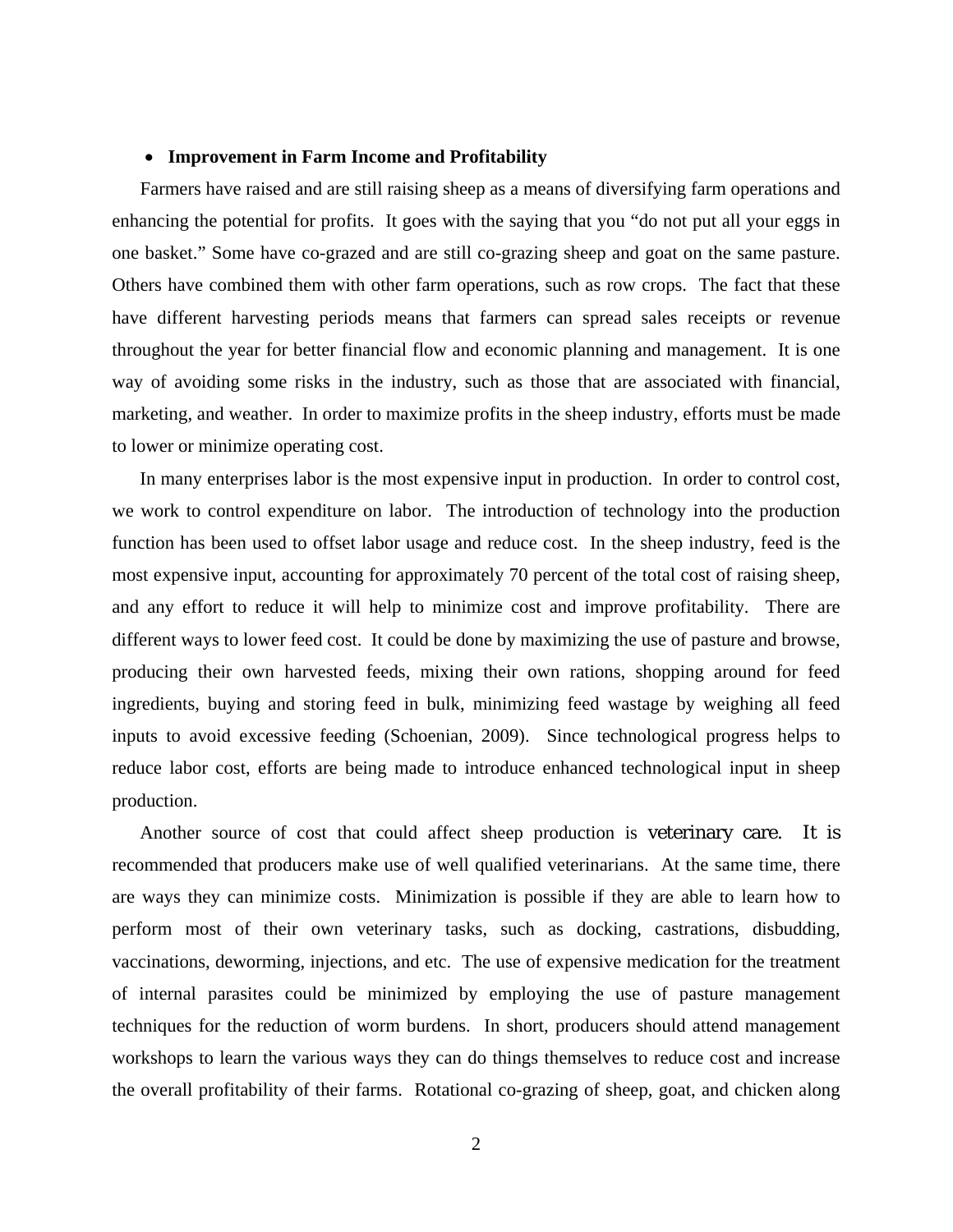## **Improvement in Farm Income and Profitability**

 Farmers have raised and are still raising sheep as a means of diversifying farm operations and enhancing the potential for profits. It goes with the saying that you "do not put all your eggs in one basket." Some have co-grazed and are still co-grazing sheep and goat on the same pasture. Others have combined them with other farm operations, such as row crops. The fact that these have different harvesting periods means that farmers can spread sales receipts or revenue throughout the year for better financial flow and economic planning and management. It is one way of avoiding some risks in the industry, such as those that are associated with financial, marketing, and weather. In order to maximize profits in the sheep industry, efforts must be made to lower or minimize operating cost.

 In many enterprises labor is the most expensive input in production. In order to control cost, we work to control expenditure on labor. The introduction of technology into the production function has been used to offset labor usage and reduce cost. In the sheep industry, feed is the most expensive input, accounting for approximately 70 percent of the total cost of raising sheep, and any effort to reduce it will help to minimize cost and improve profitability. There are different ways to lower feed cost. It could be done by maximizing the use of pasture and browse, producing their own harvested feeds, mixing their own rations, shopping around for feed ingredients, buying and storing feed in bulk, minimizing feed wastage by weighing all feed inputs to avoid excessive feeding (Schoenian, 2009). Since technological progress helps to reduce labor cost, efforts are being made to introduce enhanced technological input in sheep production.

 Another source of cost that could affect sheep production is veterinary care. It is recommended that producers make use of well qualified veterinarians. At the same time, there are ways they can minimize costs. Minimization is possible if they are able to learn how to perform most of their own veterinary tasks, such as docking, castrations, disbudding, vaccinations, deworming, injections, and etc. The use of expensive medication for the treatment of internal parasites could be minimized by employing the use of pasture management techniques for the reduction of worm burdens. In short, producers should attend management workshops to learn the various ways they can do things themselves to reduce cost and increase the overall profitability of their farms. Rotational co-grazing of sheep, goat, and chicken along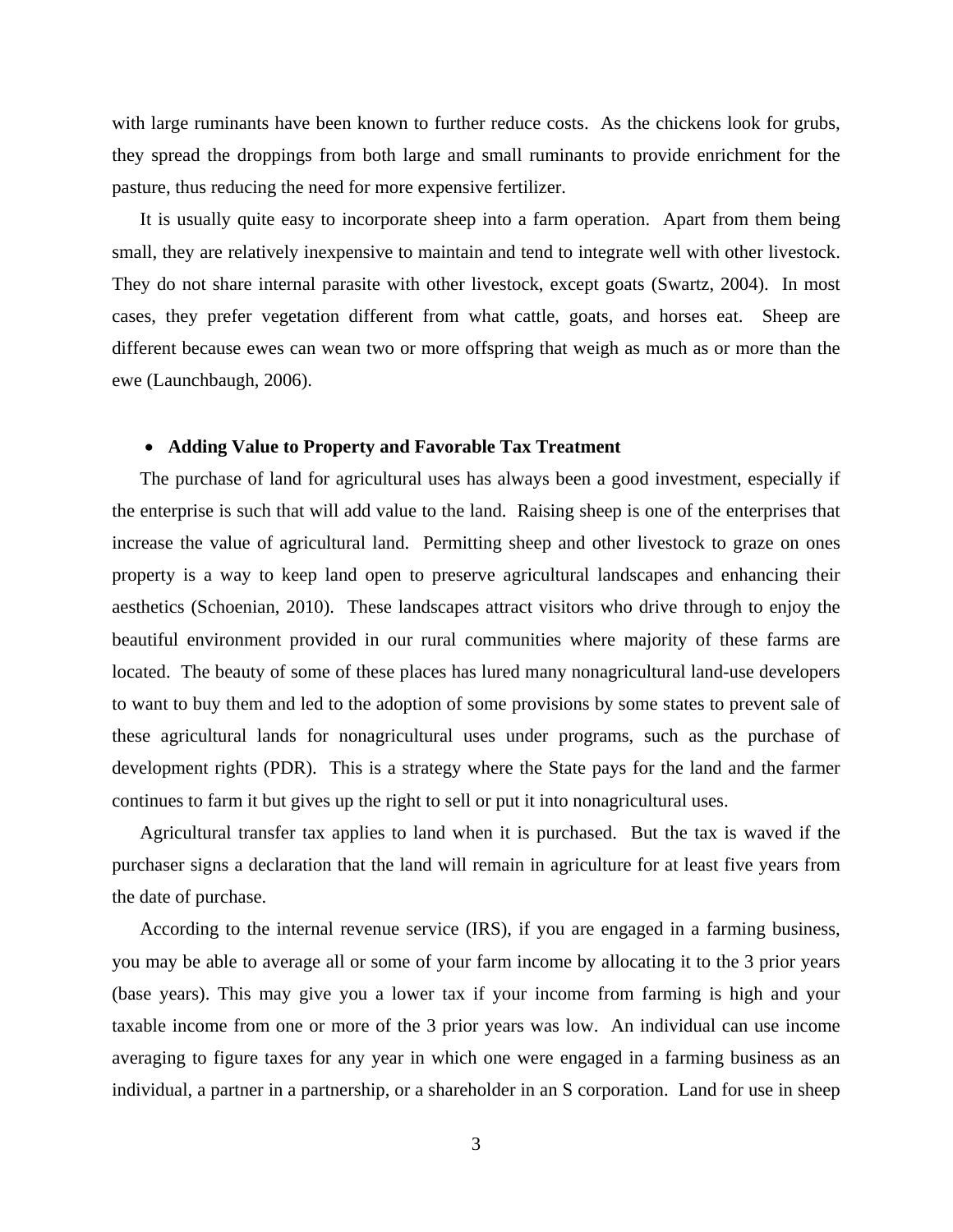with large ruminants have been known to further reduce costs. As the chickens look for grubs, they spread the droppings from both large and small ruminants to provide enrichment for the pasture, thus reducing the need for more expensive fertilizer.

 It is usually quite easy to incorporate sheep into a farm operation. Apart from them being small, they are relatively inexpensive to maintain and tend to integrate well with other livestock. They do not share internal parasite with other livestock, except goats (Swartz, 2004). In most cases, they prefer vegetation different from what cattle, goats, and horses eat. Sheep are different because ewes can wean two or more offspring that weigh as much as or more than the ewe (Launchbaugh, 2006).

#### **Adding Value to Property and Favorable Tax Treatment**

 The purchase of land for agricultural uses has always been a good investment, especially if the enterprise is such that will add value to the land. Raising sheep is one of the enterprises that increase the value of agricultural land. Permitting sheep and other livestock to graze on ones property is a way to keep land open to preserve agricultural landscapes and enhancing their aesthetics (Schoenian, 2010). These landscapes attract visitors who drive through to enjoy the beautiful environment provided in our rural communities where majority of these farms are located. The beauty of some of these places has lured many nonagricultural land-use developers to want to buy them and led to the adoption of some provisions by some states to prevent sale of these agricultural lands for nonagricultural uses under programs, such as the purchase of development rights (PDR). This is a strategy where the State pays for the land and the farmer continues to farm it but gives up the right to sell or put it into nonagricultural uses.

 Agricultural transfer tax applies to land when it is purchased. But the tax is waved if the purchaser signs a declaration that the land will remain in agriculture for at least five years from the date of purchase.

 According to the internal revenue service (IRS), if you are engaged in a farming business, you may be able to average all or some of your farm income by allocating it to the 3 prior years (base years). This may give you a lower tax if your income from farming is high and your taxable income from one or more of the 3 prior years was low. An individual can use income averaging to figure taxes for any year in which one were engaged in a farming business as an individual, a partner in a partnership, or a shareholder in an S corporation. Land for use in sheep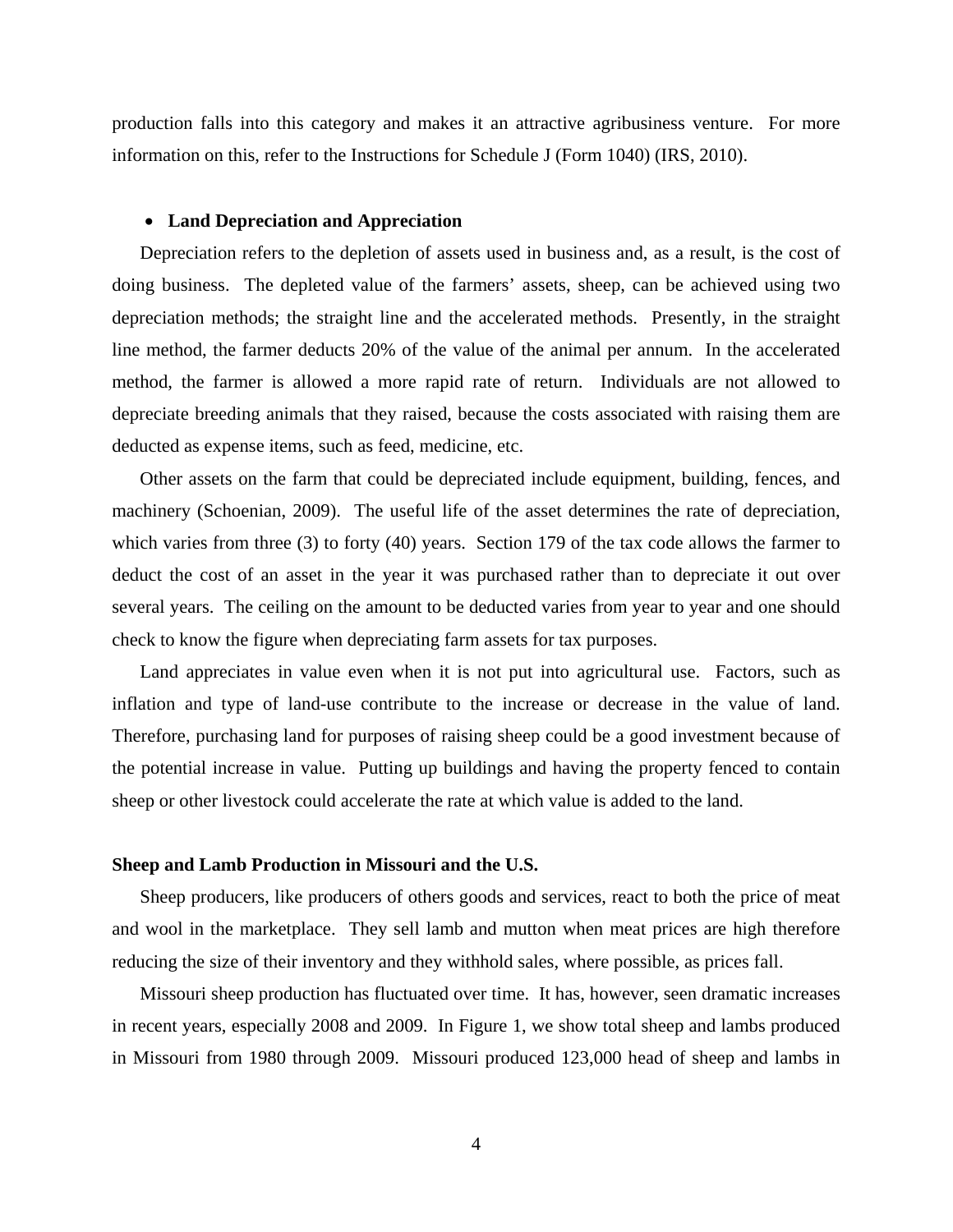production falls into this category and makes it an attractive agribusiness venture. For more information on this, refer to the Instructions for Schedule J (Form 1040) (IRS, 2010).

### **Land Depreciation and Appreciation**

 Depreciation refers to the depletion of assets used in business and, as a result, is the cost of doing business. The depleted value of the farmers' assets, sheep, can be achieved using two depreciation methods; the straight line and the accelerated methods. Presently, in the straight line method, the farmer deducts 20% of the value of the animal per annum. In the accelerated method, the farmer is allowed a more rapid rate of return. Individuals are not allowed to depreciate breeding animals that they raised, because the costs associated with raising them are deducted as expense items, such as feed, medicine, etc.

 Other assets on the farm that could be depreciated include equipment, building, fences, and machinery (Schoenian, 2009). The useful life of the asset determines the rate of depreciation, which varies from three (3) to forty (40) years. Section 179 of the tax code allows the farmer to deduct the cost of an asset in the year it was purchased rather than to depreciate it out over several years. The ceiling on the amount to be deducted varies from year to year and one should check to know the figure when depreciating farm assets for tax purposes.

 Land appreciates in value even when it is not put into agricultural use. Factors, such as inflation and type of land-use contribute to the increase or decrease in the value of land. Therefore, purchasing land for purposes of raising sheep could be a good investment because of the potential increase in value. Putting up buildings and having the property fenced to contain sheep or other livestock could accelerate the rate at which value is added to the land.

## **Sheep and Lamb Production in Missouri and the U.S.**

 Sheep producers, like producers of others goods and services, react to both the price of meat and wool in the marketplace. They sell lamb and mutton when meat prices are high therefore reducing the size of their inventory and they withhold sales, where possible, as prices fall.

 Missouri sheep production has fluctuated over time. It has, however, seen dramatic increases in recent years, especially 2008 and 2009. In Figure 1, we show total sheep and lambs produced in Missouri from 1980 through 2009. Missouri produced 123,000 head of sheep and lambs in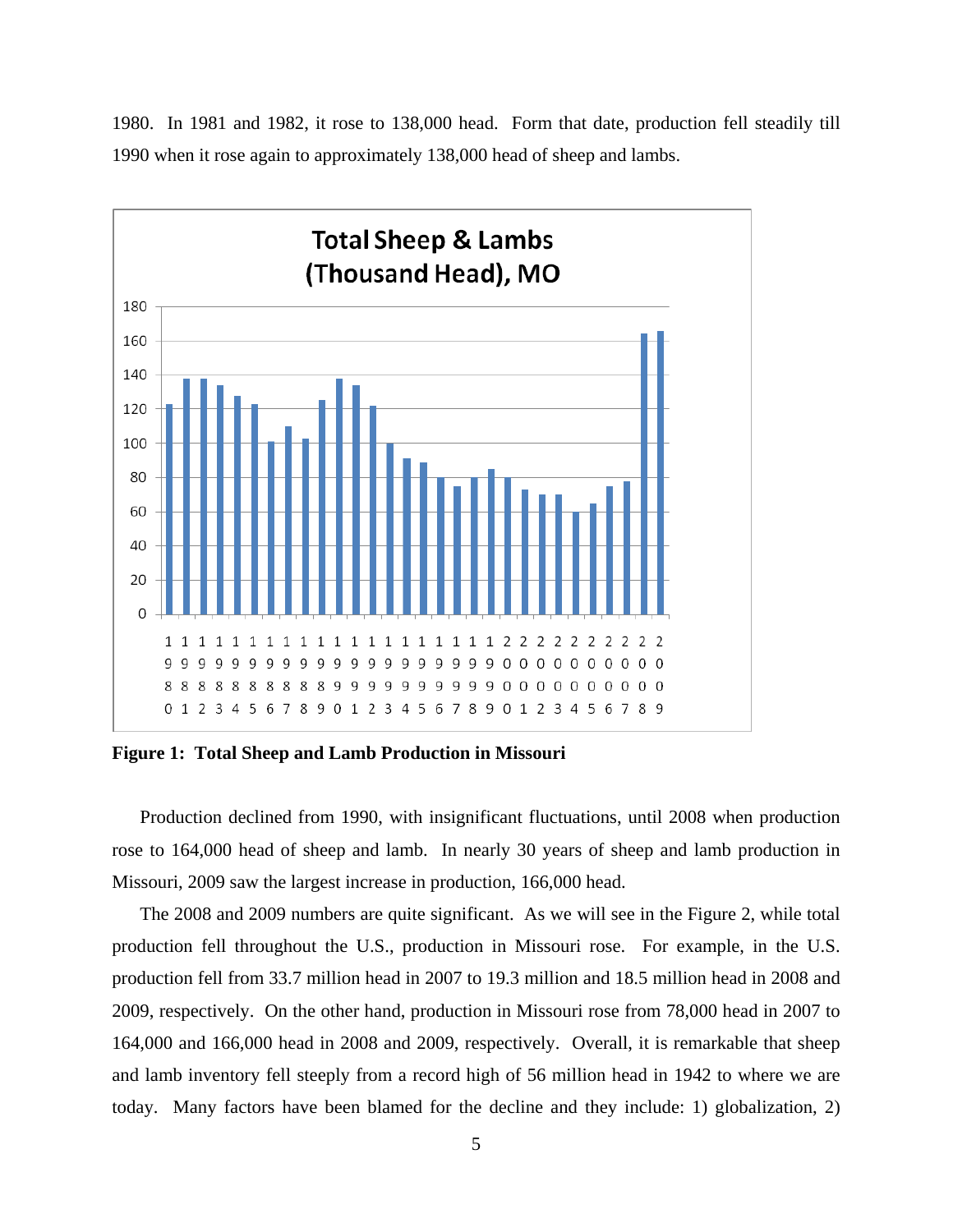

1980. In 1981 and 1982, it rose to 138,000 head. Form that date, production fell steadily till 1990 when it rose again to approximately 138,000 head of sheep and lambs.

**Figure 1: Total Sheep and Lamb Production in Missouri** 

 Production declined from 1990, with insignificant fluctuations, until 2008 when production rose to 164,000 head of sheep and lamb. In nearly 30 years of sheep and lamb production in Missouri, 2009 saw the largest increase in production, 166,000 head.

 The 2008 and 2009 numbers are quite significant. As we will see in the Figure 2, while total production fell throughout the U.S., production in Missouri rose. For example, in the U.S. production fell from 33.7 million head in 2007 to 19.3 million and 18.5 million head in 2008 and 2009, respectively. On the other hand, production in Missouri rose from 78,000 head in 2007 to 164,000 and 166,000 head in 2008 and 2009, respectively. Overall, it is remarkable that sheep and lamb inventory fell steeply from a record high of 56 million head in 1942 to where we are today. Many factors have been blamed for the decline and they include: 1) globalization, 2)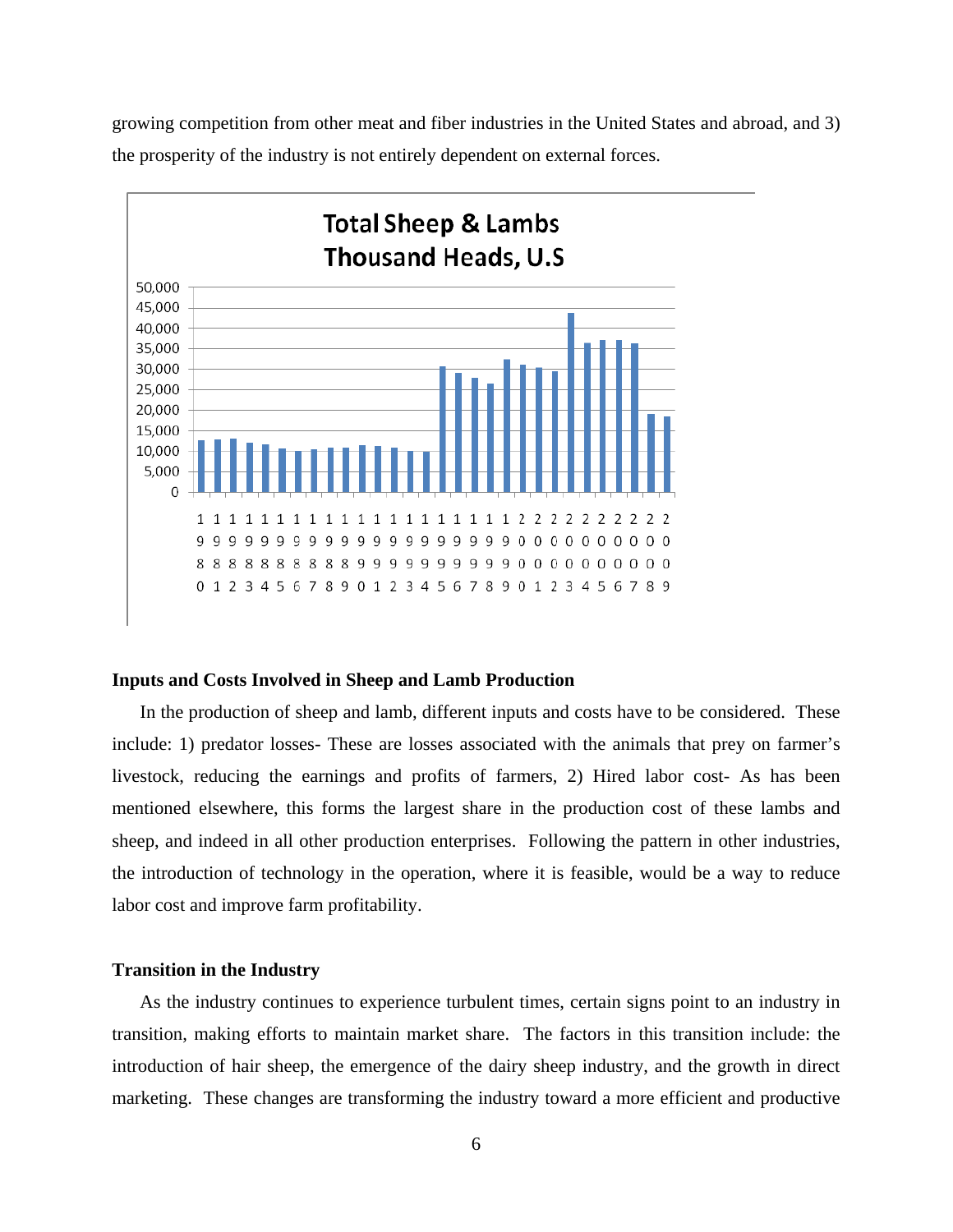growing competition from other meat and fiber industries in the United States and abroad, and 3) the prosperity of the industry is not entirely dependent on external forces.



#### **Inputs and Costs Involved in Sheep and Lamb Production**

In the production of sheep and lamb, different inputs and costs have to be considered. These include: 1) predator losses- These are losses associated with the animals that prey on farmer's livestock, reducing the earnings and profits of farmers, 2) Hired labor cost- As has been mentioned elsewhere, this forms the largest share in the production cost of these lambs and sheep, and indeed in all other production enterprises. Following the pattern in other industries, the introduction of technology in the operation, where it is feasible, would be a way to reduce labor cost and improve farm profitability.

#### **Transition in the Industry**

 As the industry continues to experience turbulent times, certain signs point to an industry in transition, making efforts to maintain market share. The factors in this transition include: the introduction of hair sheep, the emergence of the dairy sheep industry, and the growth in direct marketing. These changes are transforming the industry toward a more efficient and productive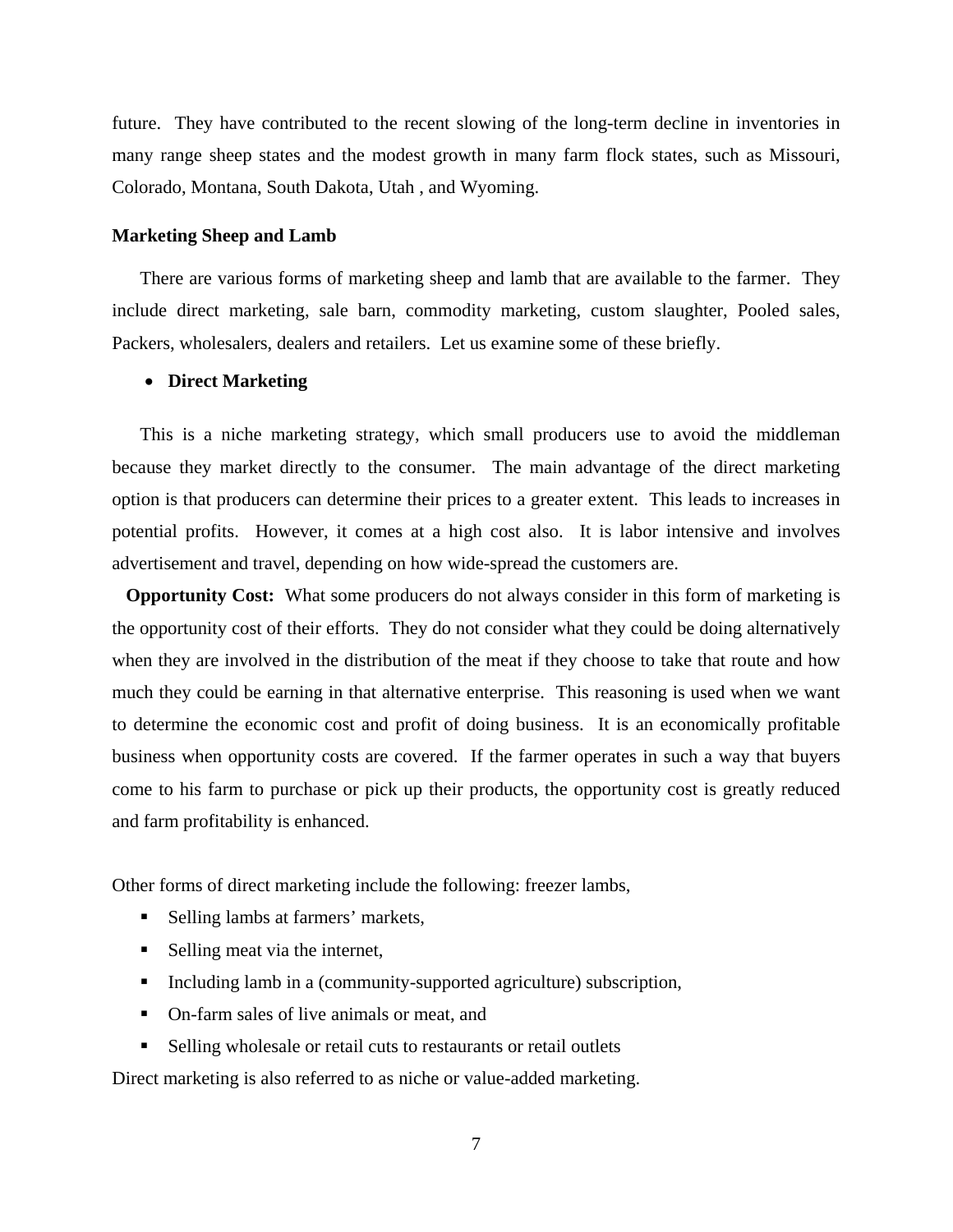future. They have contributed to the recent slowing of the long-term decline in inventories in many range sheep states and the modest growth in many farm flock states, such as Missouri, Colorado, Montana, South Dakota, Utah , and Wyoming.

### **Marketing Sheep and Lamb**

 There are various forms of marketing sheep and lamb that are available to the farmer. They include direct marketing, sale barn, commodity marketing, custom slaughter, Pooled sales, Packers, wholesalers, dealers and retailers. Let us examine some of these briefly.

#### **Direct Marketing**

 This is a niche marketing strategy, which small producers use to avoid the middleman because they market directly to the consumer. The main advantage of the direct marketing option is that producers can determine their prices to a greater extent. This leads to increases in potential profits. However, it comes at a high cost also. It is labor intensive and involves advertisement and travel, depending on how wide-spread the customers are.

 **Opportunity Cost:** What some producers do not always consider in this form of marketing is the opportunity cost of their efforts. They do not consider what they could be doing alternatively when they are involved in the distribution of the meat if they choose to take that route and how much they could be earning in that alternative enterprise. This reasoning is used when we want to determine the economic cost and profit of doing business. It is an economically profitable business when opportunity costs are covered. If the farmer operates in such a way that buyers come to his farm to purchase or pick up their products, the opportunity cost is greatly reduced and farm profitability is enhanced.

Other forms of direct marketing include the following: freezer lambs,

- Selling lambs at farmers' markets,
- Selling meat via the internet,
- Including lamb in a (community-supported agriculture) subscription,
- On-farm sales of live animals or meat, and
- Selling wholesale or retail cuts to restaurants or retail outlets

Direct marketing is also referred to as niche or value-added marketing.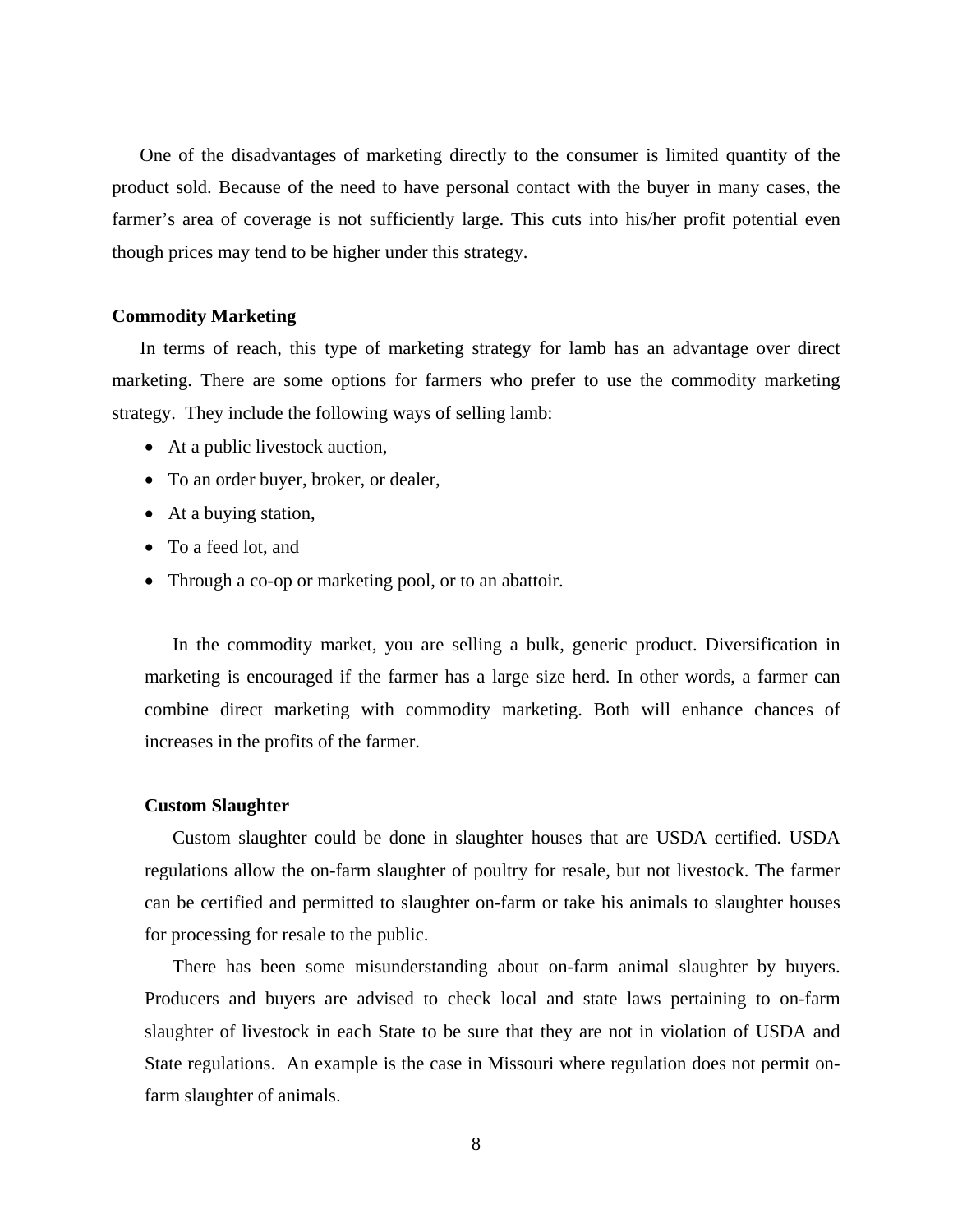One of the disadvantages of marketing directly to the consumer is limited quantity of the product sold. Because of the need to have personal contact with the buyer in many cases, the farmer's area of coverage is not sufficiently large. This cuts into his/her profit potential even though prices may tend to be higher under this strategy.

### **Commodity Marketing**

 In terms of reach, this type of marketing strategy for lamb has an advantage over direct marketing. There are some options for farmers who prefer to use the commodity marketing strategy. They include the following ways of selling lamb:

- At a public livestock auction,
- To an order buyer, broker, or dealer,
- At a buying station,
- To a feed lot, and
- Through a co-op or marketing pool, or to an abattoir.

 In the commodity market, you are selling a bulk, generic product. Diversification in marketing is encouraged if the farmer has a large size herd. In other words, a farmer can combine direct marketing with commodity marketing. Both will enhance chances of increases in the profits of the farmer.

## **Custom Slaughter**

 Custom slaughter could be done in slaughter houses that are USDA certified. USDA regulations allow the on-farm slaughter of poultry for resale, but not livestock. The farmer can be certified and permitted to slaughter on-farm or take his animals to slaughter houses for processing for resale to the public.

 There has been some misunderstanding about on-farm animal slaughter by buyers. Producers and buyers are advised to check local and state laws pertaining to on-farm slaughter of livestock in each State to be sure that they are not in violation of USDA and State regulations. An example is the case in Missouri where regulation does not permit onfarm slaughter of animals.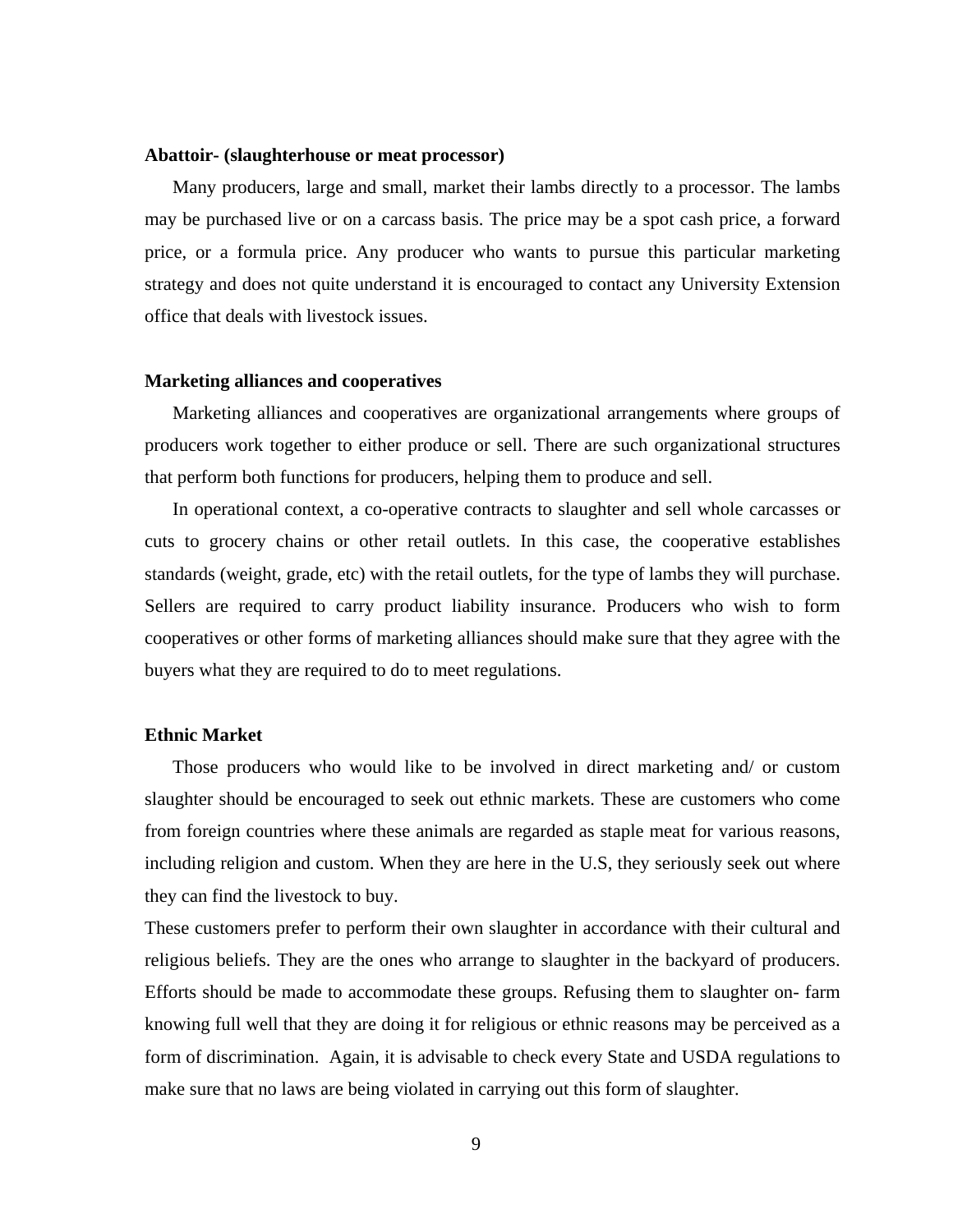#### **Abattoir- (slaughterhouse or meat processor)**

 Many producers, large and small, market their lambs directly to a processor. The lambs may be purchased live or on a carcass basis. The price may be a spot cash price, a forward price, or a formula price. Any producer who wants to pursue this particular marketing strategy and does not quite understand it is encouraged to contact any University Extension office that deals with livestock issues.

#### **Marketing alliances and cooperatives**

 Marketing alliances and cooperatives are organizational arrangements where groups of producers work together to either produce or sell. There are such organizational structures that perform both functions for producers, helping them to produce and sell.

 In operational context, a co-operative contracts to slaughter and sell whole carcasses or cuts to grocery chains or other retail outlets. In this case, the cooperative establishes standards (weight, grade, etc) with the retail outlets, for the type of lambs they will purchase. Sellers are required to carry product liability insurance. Producers who wish to form cooperatives or other forms of marketing alliances should make sure that they agree with the buyers what they are required to do to meet regulations.

## **Ethnic Market**

 Those producers who would like to be involved in direct marketing and/ or custom slaughter should be encouraged to seek out ethnic markets. These are customers who come from foreign countries where these animals are regarded as staple meat for various reasons, including religion and custom. When they are here in the U.S, they seriously seek out where they can find the livestock to buy.

These customers prefer to perform their own slaughter in accordance with their cultural and religious beliefs. They are the ones who arrange to slaughter in the backyard of producers. Efforts should be made to accommodate these groups. Refusing them to slaughter on- farm knowing full well that they are doing it for religious or ethnic reasons may be perceived as a form of discrimination. Again, it is advisable to check every State and USDA regulations to make sure that no laws are being violated in carrying out this form of slaughter.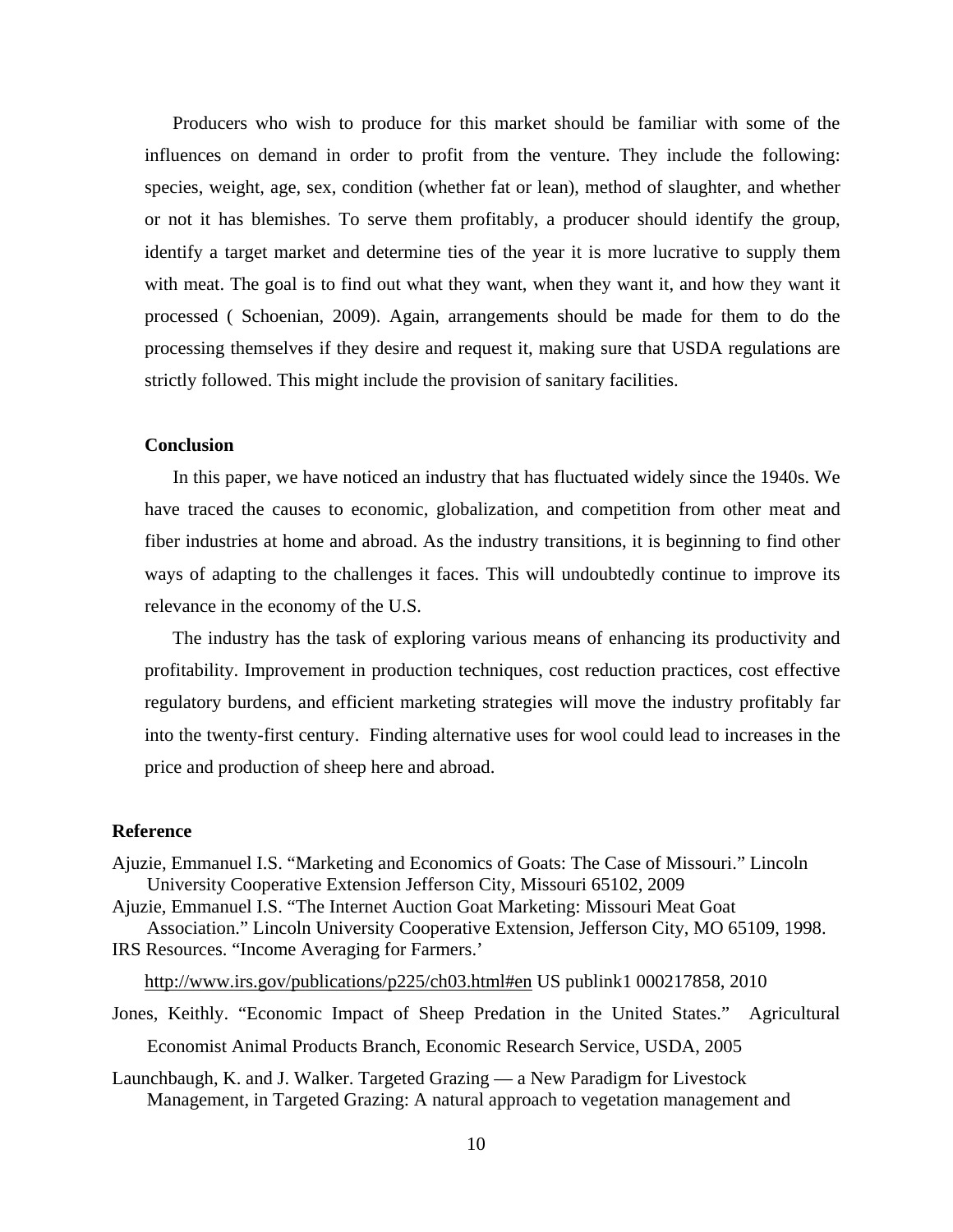Producers who wish to produce for this market should be familiar with some of the influences on demand in order to profit from the venture. They include the following: species, weight, age, sex, condition (whether fat or lean), method of slaughter, and whether or not it has blemishes. To serve them profitably, a producer should identify the group, identify a target market and determine ties of the year it is more lucrative to supply them with meat. The goal is to find out what they want, when they want it, and how they want it processed ( Schoenian, 2009). Again, arrangements should be made for them to do the processing themselves if they desire and request it, making sure that USDA regulations are strictly followed. This might include the provision of sanitary facilities.

## **Conclusion**

 In this paper, we have noticed an industry that has fluctuated widely since the 1940s. We have traced the causes to economic, globalization, and competition from other meat and fiber industries at home and abroad. As the industry transitions, it is beginning to find other ways of adapting to the challenges it faces. This will undoubtedly continue to improve its relevance in the economy of the U.S.

 The industry has the task of exploring various means of enhancing its productivity and profitability. Improvement in production techniques, cost reduction practices, cost effective regulatory burdens, and efficient marketing strategies will move the industry profitably far into the twenty-first century. Finding alternative uses for wool could lead to increases in the price and production of sheep here and abroad.

### **Reference**

- Ajuzie, Emmanuel I.S. "Marketing and Economics of Goats: The Case of Missouri." Lincoln University Cooperative Extension Jefferson City, Missouri 65102, 2009
- Ajuzie, Emmanuel I.S. "The Internet Auction Goat Marketing: Missouri Meat Goat Association." Lincoln University Cooperative Extension, Jefferson City, MO 65109, 1998. IRS Resources. "Income Averaging for Farmers.'

http://www.irs.gov/publications/p225/ch03.html#en US publink1 000217858, 2010

- Jones, Keithly. "Economic Impact of Sheep Predation in the United States." Agricultural Economist Animal Products Branch, Economic Research Service, USDA, 2005
- Launchbaugh, K. and J. Walker. Targeted Grazing a New Paradigm for Livestock Management, in Targeted Grazing: A natural approach to vegetation management and